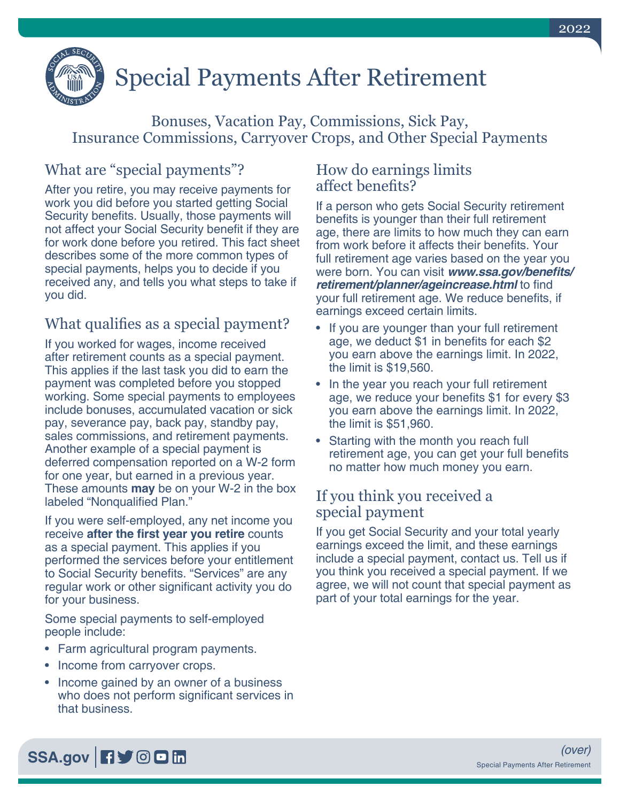

# Special Payments After Retirement

Bonuses, Vacation Pay, Commissions, Sick Pay, Insurance Commissions, Carryover Crops, and Other Special Payments

## What are "special payments"?

After you retire, you may receive payments for work you did before you started getting Social Security benefits. Usually, those payments will not affect your Social Security benefit if they are for work done before you retired. This fact sheet describes some of the more common types of special payments, helps you to decide if you received any, and tells you what steps to take if you did.

#### What qualifies as a special payment?

If you worked for wages, income received after retirement counts as a special payment. This applies if the last task you did to earn the payment was completed before you stopped working. Some special payments to employees include bonuses, accumulated vacation or sick pay, severance pay, back pay, standby pay, sales commissions, and retirement payments. Another example of a special payment is deferred compensation reported on a W-2 form for one year, but earned in a previous year. These amounts **may** be on your W-2 in the box labeled "Nonqualified Plan."

If you were self-employed, any net income you receive **after the first year you retire** counts as a special payment. This applies if you performed the services before your entitlement to Social Security benefits. "Services" are any regular work or other significant activity you do for your business.

Some special payments to self-employed people include:

- Farm agricultural program payments.
- Income from carryover crops.
- Income gained by an owner of a business who does not perform significant services in that business.

#### How do earnings limits affect benefits?

If a person who gets Social Security retirement benefits is younger than their full retirement age, there are limits to how much they can earn from work before it affects their benefits. Your full retirement age varies based on the year you were born. You can visit **[www.ssa.gov/benefits/](https://www.ssa.gov/benefits/retirement/planner/ageincrease.html) [retirement/planner/ageincrease.html](https://www.ssa.gov/benefits/retirement/planner/ageincrease.html)** to find your full retirement age. We reduce benefits, if earnings exceed certain limits.

- If you are younger than your full retirement age, we deduct \$1 in benefits for each \$2 you earn above the earnings limit. In 2022, the limit is \$19,560.
- In the year you reach your full retirement age, we reduce your benefits \$1 for every \$3 you earn above the earnings limit. In 2022, the limit is \$51,960.
- Starting with the month you reach full retirement age, you can get your full benefits no matter how much money you earn.

#### If you think you received a special payment

If you get Social Security and your total yearly earnings exceed the limit, and these earnings include a special payment, contact us. Tell us if you think you received a special payment. If we agree, we will not count that special payment as part of your total earnings for the year.

## [SSA.gov](https://www.socialsecurity.gov) **日**9回面